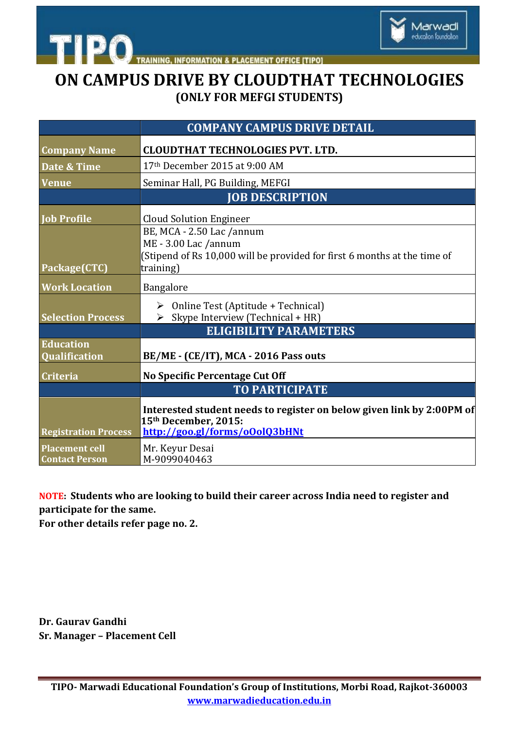

**INFORMATION & PLACEMENT OFFICE [TIPO]** 

# **ON CAMPUS DRIVE BY CLOUDTHAT TECHNOLOGIES (ONLY FOR MEFGI STUDENTS)**

|                                                | <b>COMPANY CAMPUS DRIVE DETAIL</b>                                                            |
|------------------------------------------------|-----------------------------------------------------------------------------------------------|
| <b>Company Name</b>                            | <b>CLOUDTHAT TECHNOLOGIES PVT. LTD.</b>                                                       |
| Date & Time                                    | 17th December 2015 at 9:00 AM                                                                 |
| <b>Venue</b>                                   | Seminar Hall, PG Building, MEFGI                                                              |
|                                                | <b>JOB DESCRIPTION</b>                                                                        |
| <b>Job Profile</b>                             | <b>Cloud Solution Engineer</b>                                                                |
|                                                | BE, MCA - 2.50 Lac /annum<br>ME - 3.00 Lac /annum                                             |
|                                                | (Stipend of Rs 10,000 will be provided for first 6 months at the time of                      |
| Package(CTC)                                   | training)                                                                                     |
| <b>Work Location</b>                           | Bangalore                                                                                     |
|                                                | Online Test (Aptitude + Technical)<br>➤                                                       |
| <b>Selection Process</b>                       | Skype Interview (Technical + HR)<br>➤<br><b>ELIGIBILITY PARAMETERS</b>                        |
| <b>Education</b><br><b>Qualification</b>       | BE/ME - (CE/IT), MCA - 2016 Pass outs                                                         |
|                                                |                                                                                               |
| <b>Criteria</b>                                | <b>No Specific Percentage Cut Off</b>                                                         |
|                                                | <b>TO PARTICIPATE</b>                                                                         |
|                                                | Interested student needs to register on below given link by 2:00PM of<br>15th December, 2015: |
| <b>Registration Process</b>                    | http://goo.gl/forms/oOolO3bHNt                                                                |
| <b>Placement cell</b><br><b>Contact Person</b> | Mr. Keyur Desai<br>M-9099040463                                                               |

#### **NOTE: Students who are looking to build their career across India need to register and participate for the same.**

**For other details refer page no. 2.**

**TIPO** 

**Dr. Gaurav Gandhi Sr. Manager – Placement Cell**